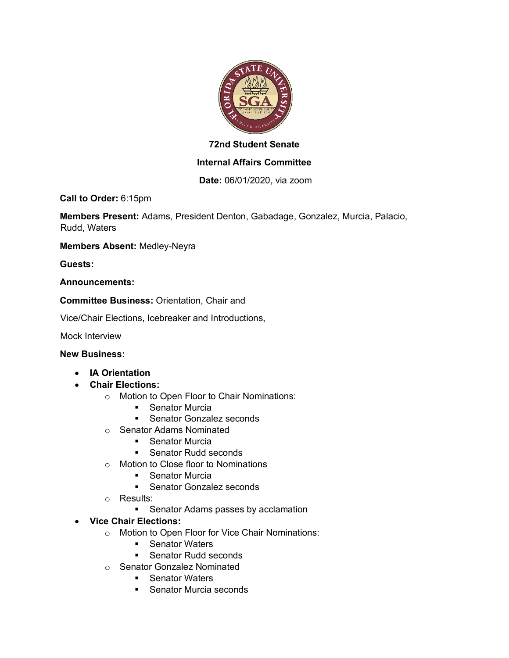

# **72nd Student Senate**

## **Internal Affairs Committee**

**Date:** 06/01/2020, via zoom

**Call to Order:** 6:15pm

**Members Present:** Adams, President Denton, Gabadage, Gonzalez, Murcia, Palacio, Rudd, Waters

**Members Absent:** Medley-Neyra

**Guests:** 

#### **Announcements:**

**Committee Business:** Orientation, Chair and

Vice/Chair Elections, Icebreaker and Introductions,

Mock Interview

#### **New Business:**

- **IA Orientation**
- **Chair Elections:**
	- o Motion to Open Floor to Chair Nominations:
		- Senator Murcia
		- Senator Gonzalez seconds
	- o Senator Adams Nominated
		- Senator Murcia
		- Senator Rudd seconds
	- o Motion to Close floor to Nominations
		- Senator Murcia
		- Senator Gonzalez seconds
	- o Results:
		- Senator Adams passes by acclamation
- **Vice Chair Elections:**
	- o Motion to Open Floor for Vice Chair Nominations:
		- Senator Waters
		- Senator Rudd seconds
	- o Senator Gonzalez Nominated
		- Senator Waters
		- Senator Murcia seconds